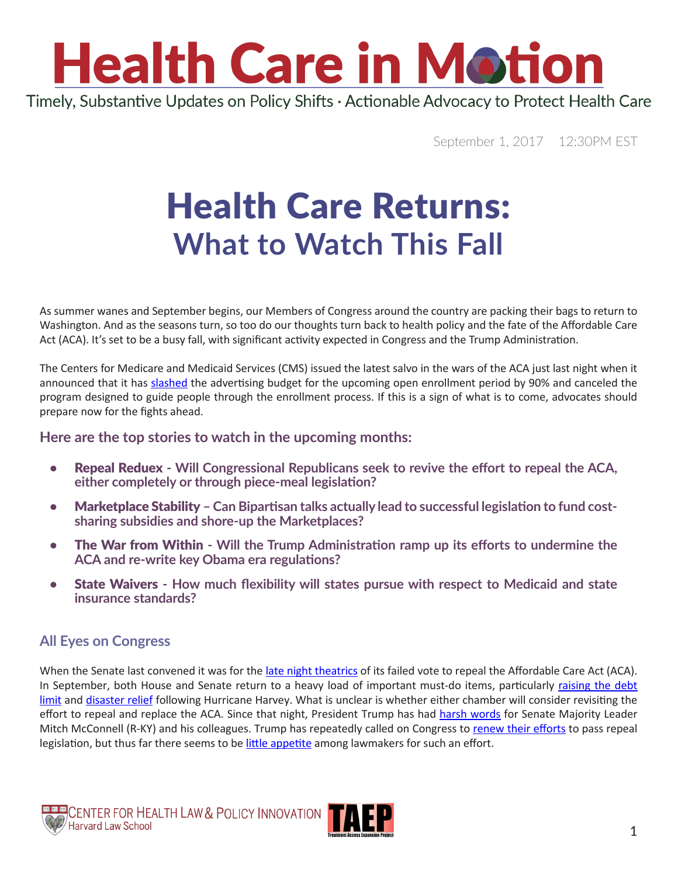

Timely, Substantive Updates on Policy Shifts · Actionable Advocacy to Protect Health Care

September 1, 2017 12:30PM EST

### Health Care Returns: **What to Watch This Fall**

As summer wanes and September begins, our Members of Congress around the country are packing their bags to return to Washington. And as the seasons turn, so too do our thoughts turn back to health policy and the fate of the Affordable Care Act (ACA). It's set to be a busy fall, with significant activity expected in Congress and the Trump Administration.

The Centers for Medicare and Medicaid Services (CMS) issued the latest salvo in the wars of the ACA just last night when it announced that it has [slashed](https://www.cms.gov/CCIIO/Programs-and-Initiatives/Health-Insurance-Marketplaces/Downloads/Policies-Related-Navigator-Program-Enrollment-Education-8-31-2017pdf.pdf) the advertising budget for the upcoming open enrollment period by 90% and canceled the program designed to guide people through the enrollment process. If this is a sign of what is to come, advocates should prepare now for the fights ahead.

#### **Here are the top stories to watch in the upcoming months:**

- **•** Repeal Reduex **Will Congressional Republicans seek to revive the effort to repeal the ACA, either completely or through piece-meal legislation?**
- Marketplace Stability **Can Bipartisan talks actually lead to successful legislation to fund costsharing subsidies and shore-up the Marketplaces?**
- The War from Within **Will the Trump Administration ramp up its efforts to undermine the ACA and re-write key Obama era regulations?**
- State Waivers **How much flexibility will states pursue with respect to Medicaid and state insurance standards?**

#### **All Eyes on Congress**

When the Senate last convened it was for the [late night theatrics](https://www.nytimes.com/2017/07/27/us/politics/obamacare-partial-repeal-senate-republicans-revolt.html) of its failed vote to repeal the Affordable Care Act (ACA). In September, both House and Senate return to a heavy load of important must-do items, particularly [raising the debt](http://www.politico.com/story/2017/08/03/debt-ceiling-republicans-clash-congress-241263)  [limit](http://www.politico.com/story/2017/08/03/debt-ceiling-republicans-clash-congress-241263) and [disaster relief](http://www.politico.com/story/2017/08/29/hurricane-harvey-republicans-relief-aid-packages-242136) following Hurricane Harvey. What is unclear is whether either chamber will consider revisiting the effort to repeal and replace the ACA. Since that night, President Trump has had [harsh words](http://thehill.com/homenews/senate/346271-trump-barrage-stuns-mcconnell-and-his-allies) for Senate Majority Leader Mitch McConnell (R-KY) and his colleagues. Trump has repeatedly called on Congress to [renew their efforts](https://www.cnbc.com/2017/08/09/trump-hits-back-at-mcconnell-pinning-blame-on-senate-for-obamacare-vote-failure.html) to pass repeal legislation, but thus far there seems to be [little appetite](https://www.vanityfair.com/news/2017/08/donald-trump-republicans-senate-obamacare-repeal) among lawmakers for such an effort.



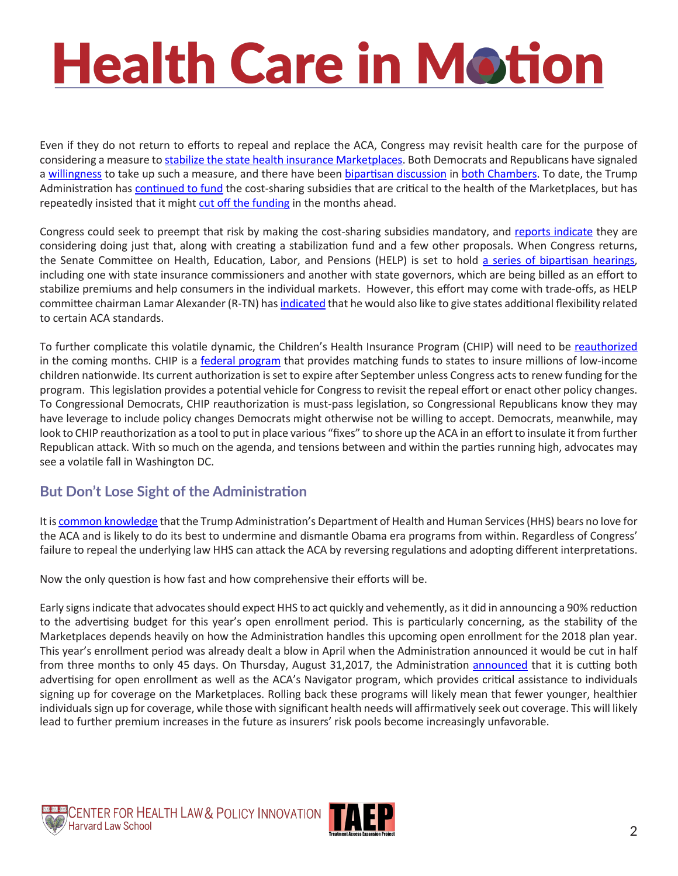## **Health Care in Motion**

Even if they do not return to efforts to repeal and replace the ACA, Congress may revisit health care for the purpose of considering a measure to [stabilize the state health insurance Marketplaces](http://www.politico.com/tipsheets/politico-pulse/2017/08/07/congress-wants-to-stabilize-insurance-markets-but-is-it-too-late-221738). Both Democrats and Republicans have signaled a [willingness](http://www.politico.com/story/2017/07/30/obamacare-health-care-stabilization-241151) to take up such a measure, and there have been [bipartisan discussion](http://www.politico.com/story/2017/07/30/obamacare-health-care-stabilization-241151) in [both Chambers](http://www.cnn.com/2017/08/02/politics/senate-health-care-hearing-bipartisan/index.html). To date, the Trump Administration has [continued to fund](http://www.politico.com/tipsheets/politico-pulse/2017/08/03/why-trumps-in-a-holding-pattern-on-obamacare-subsidies-221689) the cost-sharing subsidies that are critical to the health of the Marketplaces, but has repeatedly insisted that it might [cut off the funding](http://www.politico.com/story/2017/08/16/trump-obamacare-subsidy-payments-241712) in the months ahead.

Congress could seek to preempt that risk by making the cost-sharing subsidies mandatory, and [reports indicate](http://www.cnn.com/2017/08/02/politics/senate-health-care-hearing-bipartisan/index.html) they are considering doing just that, along with creating a stabilization fund and a few other proposals. When Congress returns, the Senate Committee on Health, Education, Labor, and Pensions (HELP) is set to hold [a series of bipartisan hearings](https://www.help.senate.gov/hearings), including one with state insurance commissioners and another with state governors, which are being billed as an effort to stabilize premiums and help consumers in the individual markets. However, this effort may come with trade-offs, as HELP committee chairman Lamar Alexander (R-TN) has [indicated](http://www.tennessean.com/story/money/industries/health-care/2017/08/24/lamar-alexander-on-why-hes-worried-about-aca-exchanges/586239001/) that he would also like to give states additional flexibility related to certain ACA standards.

To further complicate this volatile dynamic, the Children's Health Insurance Program (CHIP) will need to be [reauthorized](https://www.statnews.com/2017/07/28/chip-medicaid-congress/) in the coming months. CHIP is a [federal program](https://www.medicaid.gov/chip/index.htmlhttps:/www.medicaid.gov/chip/index.html) that provides matching funds to states to insure millions of low-income children nationwide. Its current authorization is set to expire after September unless Congress acts to renew funding for the program. This legislation provides a potential vehicle for Congress to revisit the repeal effort or enact other policy changes. To Congressional Democrats, CHIP reauthorization is must-pass legislation, so Congressional Republicans know they may have leverage to include policy changes Democrats might otherwise not be willing to accept. Democrats, meanwhile, may look to CHIP reauthorization as a tool to put in place various "fixes" to shore up the ACA in an effort to insulate it from further Republican attack. With so much on the agenda, and tensions between and within the parties running high, advocates may see a volatile fall in Washington DC.

#### **But Don't Lose Sight of the Administration**

It is [common knowledge](http://www.politico.com/story/2017/07/28/how-trump-white-house-can-undermine-obamacare-241092) that the Trump Administration's Department of Health and Human Services (HHS) bears no love for the ACA and is likely to do its best to undermine and dismantle Obama era programs from within. Regardless of Congress' failure to repeal the underlying law HHS can attack the ACA by reversing regulations and adopting different interpretations.

Now the only question is how fast and how comprehensive their efforts will be.

Early signs indicate that advocates should expect HHS to act quickly and vehemently, as it did in announcing a 90% reduction to the advertising budget for this year's open enrollment period. This is particularly concerning, as the stability of the Marketplaces depends heavily on how the Administration handles this upcoming open enrollment for the 2018 plan year. This year's enrollment period was already dealt a blow in April when the Administration announced it would be cut in half from three months to only 45 days. On Thursday, August 31,2017, the Administration [announced](https://www.cms.gov/CCIIO/Programs-and-Initiatives/Health-Insurance-Marketplaces/Downloads/Policies-Related-Navigator-Program-Enrollment-Education-8-31-2017pdf.pdf) that it is cutting both advertising for open enrollment as well as the ACA's Navigator program, which provides critical assistance to individuals signing up for coverage on the Marketplaces. Rolling back these programs will likely mean that fewer younger, healthier individuals sign up for coverage, while those with significant health needs will affirmatively seek out coverage. This will likely lead to further premium increases in the future as insurers' risk pools become increasingly unfavorable.

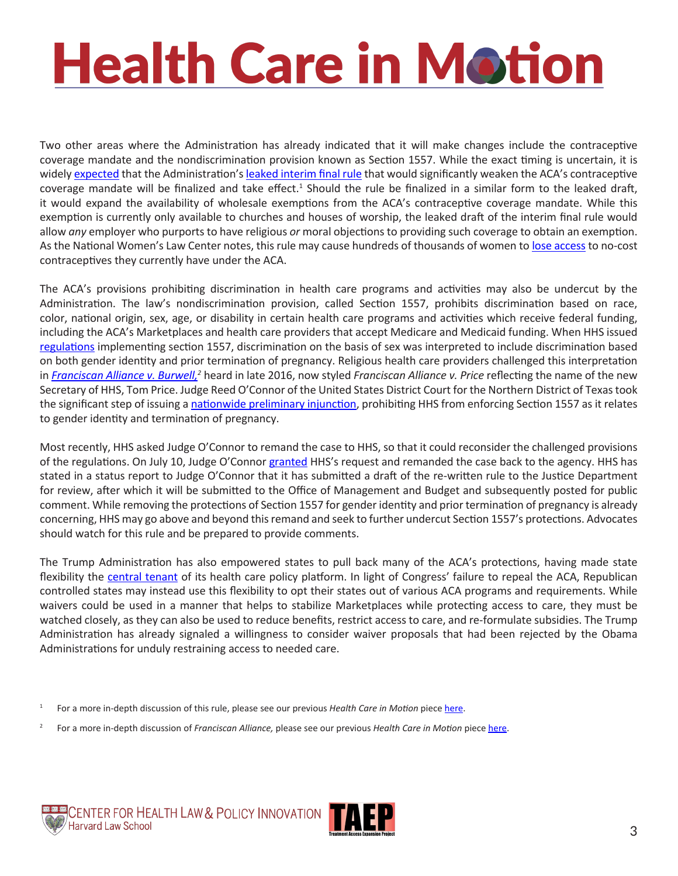## **Health Care in Motion**

Two other areas where the Administration has already indicated that it will make changes include the contraceptive coverage mandate and the nondiscrimination provision known as Section 1557. While the exact timing is uncertain, it is widely [expected](https://www.medpagetoday.com/publichealthpolicy/healthpolicy/67466) that the Administration's [leaked interim final rule](https://www.documentcloud.org/documents/3761268-Preventive-Services-Final-Rule-0.html) that would significantly weaken the ACA's contraceptive coverage mandate will be finalized and take effect.<sup>1</sup> Should the rule be finalized in a similar form to the leaked draft, it would expand the availability of wholesale exemptions from the ACA's contraceptive coverage mandate. While this exemption is currently only available to churches and houses of worship, the leaked draft of the interim final rule would allow *any* employer who purports to have religious *or* moral objections to providing such coverage to obtain an exemption. As the National Women's Law Center notes, this rule may cause hundreds of thousands of women to [lose access](https://nwlc.org/press-releases/leaked-birth-control-rule-is-expansive-and-an-affront-to-women/) to no-cost contraceptives they currently have under the ACA.

The ACA's provisions prohibiting discrimination in health care programs and activities may also be undercut by the Administration. The law's nondiscrimination provision, called Section 1557, prohibits discrimination based on race, color, national origin, sex, age, or disability in certain health care programs and activities which receive federal funding, including the ACA's Marketplaces and health care providers that accept Medicare and Medicaid funding. When HHS issued [regulations](https://www.federalregister.gov/documents/2016/05/18/2016-11458/nondiscrimination-in-health-programs-and-activities) implementing section 1557, discrimination on the basis of sex was interpreted to include discrimination based on both gender identity and prior termination of pregnancy. Religious health care providers challenged this interpretation in *Franciscan Alliance v. Burwell*,<sup>2</sup> heard in late 2016, now styled *Franciscan Alliance v. Price* reflecting the name of the new Secretary of HHS, Tom Price. Judge Reed O'Connor of the United States District Court for the Northern District of Texas took the significant step of issuing a [nationwide preliminary injunction](http://premiumtaxcredits.wikispaces.com/file/view/Franciscan Alliance PI order.pdf/602930830/Franciscan Alliance PI order.pdf), prohibiting HHS from enforcing Section 1557 as it relates to gender identity and termination of pregnancy.

Most recently, HHS asked Judge O'Connor to remand the case to HHS, so that it could reconsider the challenged provisions of the regulations. On July 10, Judge O'Connor [granted](http://healthaffairs.org/blog/2017/08/18/aca-round-up-hospital-nonprofit-status-aca-nondiscrimination-litigation-and-more/) HHS's request and remanded the case back to the agency. HHS has stated in a status report to Judge O'Connor that it has submitted a draft of the re-written rule to the Justice Department for review, after which it will be submitted to the Office of Management and Budget and subsequently posted for public comment. While removing the protections of Section 1557 for gender identity and prior termination of pregnancy is already concerning, HHS may go above and beyond this remand and seek to further undercut Section 1557's protections. Advocates should watch for this rule and be prepared to provide comments.

The Trump Administration has also empowered states to pull back many of the ACA's protections, having made state flexibility the [central tenant](https://www.hhs.gov/about/news/2017/03/10/secretary-price-committed-greater-medicaid-flexibility-states.html) of its health care policy platform. In light of Congress' failure to repeal the ACA, Republican controlled states may instead use this flexibility to opt their states out of various ACA programs and requirements. While waivers could be used in a manner that helps to stabilize Marketplaces while protecting access to care, they must be watched closely, as they can also be used to reduce benefits, restrict access to care, and re-formulate subsidies. The Trump Administration has already signaled a willingness to consider waiver proposals that had been rejected by the Obama Administrations for unduly restraining access to needed care.

- <sup>1</sup> For a more in-depth discussion of this rule, please see our previous *Health Care in Motion* piece [here](http://www.chlpi.org/wp-content/uploads/2013/12/HCIM_06_02_2017.pdf).
- 2 For a more in-depth discussion of *Franciscan Alliance,* please see our previous *Health Care in Motion* piece [here.](http://www.chlpi.org/wp-content/uploads/2013/12/Health-Care-in-Motion_04_06_2017.pdf)